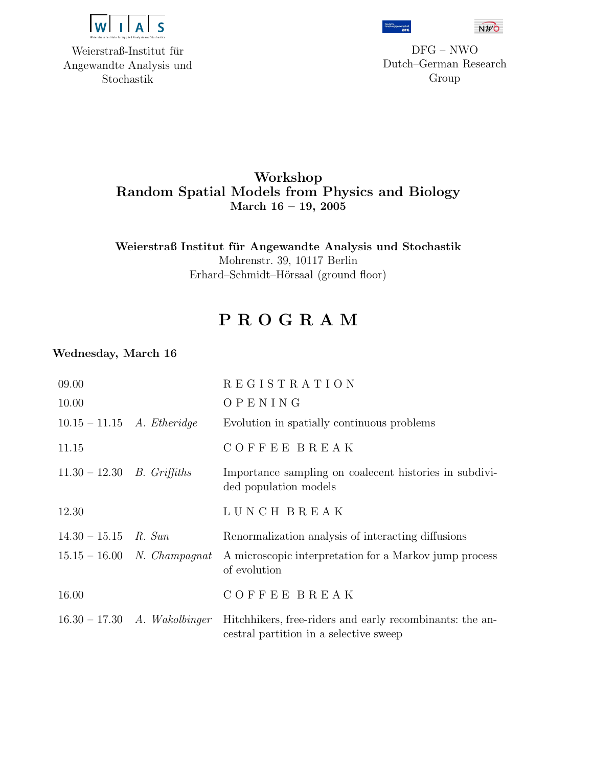

Weierstraß-Institut für Angewandte Analysis und Stochastik



DFG – NWO Dutch–German Research Group

 $\overline{N}W\overline{O}$ 

## Workshop Random Spatial Models from Physics and Biology March 16 – 19, 2005

Weierstraß Institut für Angewandte Analysis und Stochastik Mohrenstr. 39, 10117 Berlin Erhard–Schmidt–Hörsaal (ground floor)

# P R O G R A M

### Wednesday, March 16

| 09.00                               |                                       | REGISTRATION                                                                                       |
|-------------------------------------|---------------------------------------|----------------------------------------------------------------------------------------------------|
| 10.00                               |                                       | OPENING                                                                                            |
| $10.15 - 11.15$ <i>A. Etheridge</i> |                                       | Evolution in spatially continuous problems                                                         |
| 11.15                               |                                       | <b>COFFEE BREAK</b>                                                                                |
| $11.30 - 12.30$ B. Griffiths        |                                       | Importance sampling on coalecent histories in subdivi-<br>ded population models                    |
| 12.30                               |                                       | LUNCH BREAK                                                                                        |
| $14.30 - 15.15$ R. Sun              |                                       | Renormalization analysis of interacting diffusions                                                 |
|                                     | $15.15 - 16.00$ N. Champagnat         | A microscopic interpretation for a Markov jump process<br>of evolution                             |
| 16.00                               |                                       | <b>COFFEE BREAK</b>                                                                                |
|                                     | $16.30 - 17.30$ <i>A. Wakolbinger</i> | Hitchhikers, free-riders and early recombinants: the an-<br>cestral partition in a selective sweep |